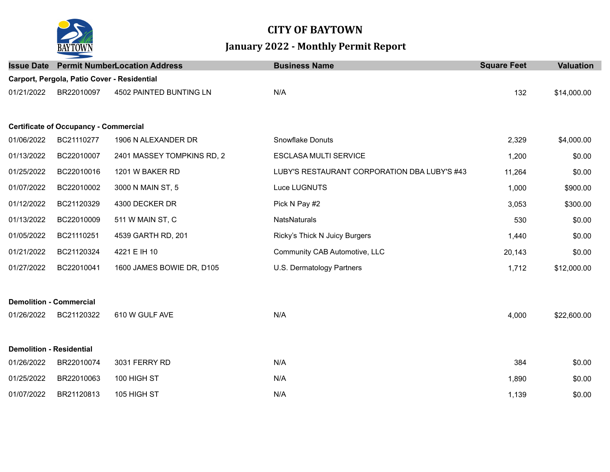

## **CITY OF BAYTOWN January 2022 - Monthly Permit Report**

| <b>Issue Date</b>               |                                              | <b>Permit NumberLocation Address</b> | <b>Business Name</b>                         | <b>Square Feet</b> | <b>Valuation</b> |
|---------------------------------|----------------------------------------------|--------------------------------------|----------------------------------------------|--------------------|------------------|
|                                 | Carport, Pergola, Patio Cover - Residential  |                                      |                                              |                    |                  |
| 01/21/2022                      | BR22010097                                   | 4502 PAINTED BUNTING LN              | N/A                                          | 132                | \$14,000.00      |
|                                 | <b>Certificate of Occupancy - Commercial</b> |                                      |                                              |                    |                  |
| 01/06/2022                      | BC21110277                                   | 1906 N ALEXANDER DR                  | Snowflake Donuts                             | 2,329              | \$4,000.00       |
| 01/13/2022                      | BC22010007                                   | 2401 MASSEY TOMPKINS RD, 2           | <b>ESCLASA MULTI SERVICE</b>                 | 1,200              | \$0.00           |
| 01/25/2022                      | BC22010016                                   | 1201 W BAKER RD                      | LUBY'S RESTAURANT CORPORATION DBA LUBY'S #43 | 11,264             | \$0.00           |
| 01/07/2022                      | BC22010002                                   | 3000 N MAIN ST, 5                    | Luce LUGNUTS                                 | 1,000              | \$900.00         |
| 01/12/2022                      | BC21120329                                   | 4300 DECKER DR                       | Pick N Pay #2                                | 3,053              | \$300.00         |
| 01/13/2022                      | BC22010009                                   | 511 W MAIN ST, C                     | NatsNaturals                                 | 530                | \$0.00           |
| 01/05/2022                      | BC21110251                                   | 4539 GARTH RD, 201                   | Ricky's Thick N Juicy Burgers                | 1,440              | \$0.00           |
| 01/21/2022                      | BC21120324                                   | 4221 E IH 10                         | Community CAB Automotive, LLC                | 20,143             | \$0.00           |
| 01/27/2022                      | BC22010041                                   | 1600 JAMES BOWIE DR, D105            | U.S. Dermatology Partners                    | 1,712              | \$12,000.00      |
|                                 | <b>Demolition - Commercial</b>               |                                      |                                              |                    |                  |
| 01/26/2022                      | BC21120322                                   | 610 W GULF AVE                       | N/A                                          | 4,000              | \$22,600.00      |
| <b>Demolition - Residential</b> |                                              |                                      |                                              |                    |                  |
| 01/26/2022                      | BR22010074                                   | 3031 FERRY RD                        | N/A                                          | 384                | \$0.00           |
| 01/25/2022                      | BR22010063                                   | 100 HIGH ST                          | N/A                                          | 1,890              | \$0.00           |
| 01/07/2022                      | BR21120813                                   | 105 HIGH ST                          | N/A                                          | 1,139              | \$0.00           |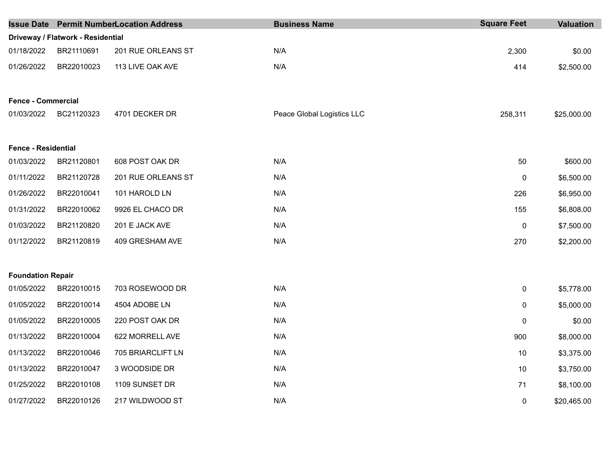|                            |                                   | <b>Issue Date Permit NumberLocation Address</b> | <b>Business Name</b>       | <b>Square Feet</b> | <b>Valuation</b> |
|----------------------------|-----------------------------------|-------------------------------------------------|----------------------------|--------------------|------------------|
|                            | Driveway / Flatwork - Residential |                                                 |                            |                    |                  |
| 01/18/2022                 | BR21110691                        | 201 RUE ORLEANS ST                              | N/A                        | 2,300              | \$0.00           |
| 01/26/2022                 | BR22010023                        | 113 LIVE OAK AVE                                | N/A                        | 414                | \$2,500.00       |
| <b>Fence - Commercial</b>  |                                   |                                                 |                            |                    |                  |
| 01/03/2022                 | BC21120323                        | 4701 DECKER DR                                  | Peace Global Logistics LLC | 258,311            | \$25,000.00      |
| <b>Fence - Residential</b> |                                   |                                                 |                            |                    |                  |
| 01/03/2022                 | BR21120801                        | 608 POST OAK DR                                 | N/A                        | 50                 | \$600.00         |
| 01/11/2022                 | BR21120728                        | 201 RUE ORLEANS ST                              | N/A                        | 0                  | \$6,500.00       |
| 01/26/2022                 | BR22010041                        | 101 HAROLD LN                                   | N/A                        | 226                | \$6,950.00       |
| 01/31/2022                 | BR22010062                        | 9926 EL CHACO DR                                | N/A                        | 155                | \$6,808.00       |
| 01/03/2022                 | BR21120820                        | 201 E JACK AVE                                  | N/A                        | 0                  | \$7,500.00       |
| 01/12/2022                 | BR21120819                        | 409 GRESHAM AVE                                 | N/A                        | 270                | \$2,200.00       |
| <b>Foundation Repair</b>   |                                   |                                                 |                            |                    |                  |
| 01/05/2022                 | BR22010015                        | 703 ROSEWOOD DR                                 | N/A                        | 0                  | \$5,778.00       |
| 01/05/2022                 | BR22010014                        | 4504 ADOBE LN                                   | N/A                        | 0                  | \$5,000.00       |
| 01/05/2022                 | BR22010005                        | 220 POST OAK DR                                 | N/A                        | 0                  | \$0.00           |
| 01/13/2022                 | BR22010004                        | 622 MORRELL AVE                                 | N/A                        | 900                | \$8,000.00       |
| 01/13/2022                 | BR22010046                        | 705 BRIARCLIFT LN                               | N/A                        | 10                 | \$3,375.00       |
| 01/13/2022                 | BR22010047                        | 3 WOODSIDE DR                                   | N/A                        | 10                 | \$3,750.00       |
| 01/25/2022                 | BR22010108                        | 1109 SUNSET DR                                  | N/A                        | 71                 | \$8,100.00       |
| 01/27/2022                 | BR22010126                        | 217 WILDWOOD ST                                 | N/A                        | 0                  | \$20,465.00      |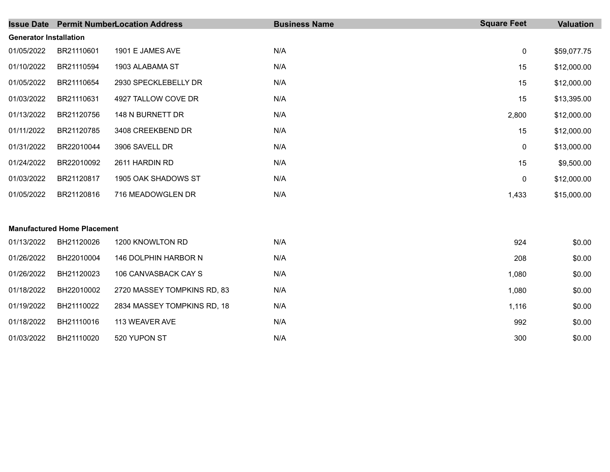| <b>Issue Date</b>             |                                    | <b>Permit NumberLocation Address</b> | <b>Business Name</b> | <b>Square Feet</b> | <b>Valuation</b> |
|-------------------------------|------------------------------------|--------------------------------------|----------------------|--------------------|------------------|
| <b>Generator Installation</b> |                                    |                                      |                      |                    |                  |
| 01/05/2022                    | BR21110601                         | 1901 E JAMES AVE                     | N/A                  | $\mathbf 0$        | \$59,077.75      |
| 01/10/2022                    | BR21110594                         | 1903 ALABAMA ST                      | N/A                  | 15                 | \$12,000.00      |
| 01/05/2022                    | BR21110654                         | 2930 SPECKLEBELLY DR                 | N/A                  | 15                 | \$12,000.00      |
| 01/03/2022                    | BR21110631                         | 4927 TALLOW COVE DR                  | N/A                  | 15                 | \$13,395.00      |
| 01/13/2022                    | BR21120756                         | 148 N BURNETT DR                     | N/A                  | 2,800              | \$12,000.00      |
| 01/11/2022                    | BR21120785                         | 3408 CREEKBEND DR                    | N/A                  | 15                 | \$12,000.00      |
| 01/31/2022                    | BR22010044                         | 3906 SAVELL DR                       | N/A                  | 0                  | \$13,000.00      |
| 01/24/2022                    | BR22010092                         | 2611 HARDIN RD                       | N/A                  | 15                 | \$9,500.00       |
| 01/03/2022                    | BR21120817                         | 1905 OAK SHADOWS ST                  | N/A                  | 0                  | \$12,000.00      |
| 01/05/2022                    | BR21120816                         | 716 MEADOWGLEN DR                    | N/A                  | 1,433              | \$15,000.00      |
|                               |                                    |                                      |                      |                    |                  |
|                               | <b>Manufactured Home Placement</b> |                                      |                      |                    |                  |
| 01/13/2022                    | BH21120026                         | 1200 KNOWLTON RD                     | N/A                  | 924                | \$0.00           |
| 01/26/2022                    | BH22010004                         | 146 DOLPHIN HARBOR N                 | N/A                  | 208                | \$0.00           |
| 01/26/2022                    | BH21120023                         | 106 CANVASBACK CAY S                 | N/A                  | 1,080              | \$0.00           |
| 01/18/2022                    | BH22010002                         | 2720 MASSEY TOMPKINS RD, 83          | N/A                  | 1,080              | \$0.00           |
| 01/19/2022                    | BH21110022                         | 2834 MASSEY TOMPKINS RD, 18          | N/A                  | 1,116              | \$0.00           |
| 01/18/2022                    | BH21110016                         | 113 WEAVER AVE                       | N/A                  | 992                | \$0.00           |
| 01/03/2022                    | BH21110020                         | 520 YUPON ST                         | N/A                  | 300                | \$0.00           |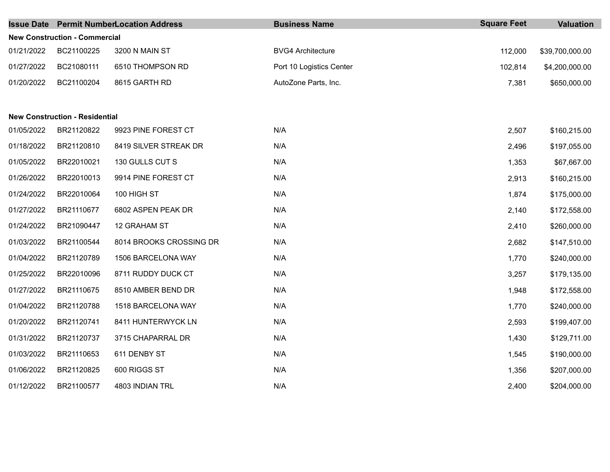|                                       |                                      | <b>Issue Date Permit NumberLocation Address</b> | <b>Business Name</b>     | <b>Square Feet</b> | <b>Valuation</b> |  |  |  |
|---------------------------------------|--------------------------------------|-------------------------------------------------|--------------------------|--------------------|------------------|--|--|--|
|                                       | <b>New Construction - Commercial</b> |                                                 |                          |                    |                  |  |  |  |
| 01/21/2022                            | BC21100225                           | 3200 N MAIN ST                                  | <b>BVG4 Architecture</b> | 112,000            | \$39,700,000.00  |  |  |  |
| 01/27/2022                            | BC21080111                           | 6510 THOMPSON RD                                | Port 10 Logistics Center | 102,814            | \$4,200,000.00   |  |  |  |
| 01/20/2022                            | BC21100204                           | 8615 GARTH RD                                   | AutoZone Parts, Inc.     | 7,381              | \$650,000.00     |  |  |  |
|                                       |                                      |                                                 |                          |                    |                  |  |  |  |
| <b>New Construction - Residential</b> |                                      |                                                 |                          |                    |                  |  |  |  |
| 01/05/2022                            | BR21120822                           | 9923 PINE FOREST CT                             | N/A                      | 2,507              | \$160,215.00     |  |  |  |
| 01/18/2022                            | BR21120810                           | 8419 SILVER STREAK DR                           | N/A                      | 2,496              | \$197,055.00     |  |  |  |
| 01/05/2022                            | BR22010021                           | 130 GULLS CUT S                                 | N/A                      | 1,353              | \$67,667.00      |  |  |  |
| 01/26/2022                            | BR22010013                           | 9914 PINE FOREST CT                             | N/A                      | 2,913              | \$160,215.00     |  |  |  |
| 01/24/2022                            | BR22010064                           | 100 HIGH ST                                     | N/A                      | 1,874              | \$175,000.00     |  |  |  |
| 01/27/2022                            | BR21110677                           | 6802 ASPEN PEAK DR                              | N/A                      | 2,140              | \$172,558.00     |  |  |  |
| 01/24/2022                            | BR21090447                           | 12 GRAHAM ST                                    | N/A                      | 2,410              | \$260,000.00     |  |  |  |
| 01/03/2022                            | BR21100544                           | 8014 BROOKS CROSSING DR                         | N/A                      | 2,682              | \$147,510.00     |  |  |  |
| 01/04/2022                            | BR21120789                           | 1506 BARCELONA WAY                              | N/A                      | 1,770              | \$240,000.00     |  |  |  |
| 01/25/2022                            | BR22010096                           | 8711 RUDDY DUCK CT                              | N/A                      | 3,257              | \$179,135.00     |  |  |  |
| 01/27/2022                            | BR21110675                           | 8510 AMBER BEND DR                              | N/A                      | 1,948              | \$172,558.00     |  |  |  |
| 01/04/2022                            | BR21120788                           | 1518 BARCELONA WAY                              | N/A                      | 1,770              | \$240,000.00     |  |  |  |
| 01/20/2022                            | BR21120741                           | 8411 HUNTERWYCK LN                              | N/A                      | 2,593              | \$199,407.00     |  |  |  |
| 01/31/2022                            | BR21120737                           | 3715 CHAPARRAL DR                               | N/A                      | 1,430              | \$129,711.00     |  |  |  |
| 01/03/2022                            | BR21110653                           | 611 DENBY ST                                    | N/A                      | 1,545              | \$190,000.00     |  |  |  |
| 01/06/2022                            | BR21120825                           | 600 RIGGS ST                                    | N/A                      | 1,356              | \$207,000.00     |  |  |  |
| 01/12/2022                            | BR21100577                           | 4803 INDIAN TRL                                 | N/A                      | 2,400              | \$204,000.00     |  |  |  |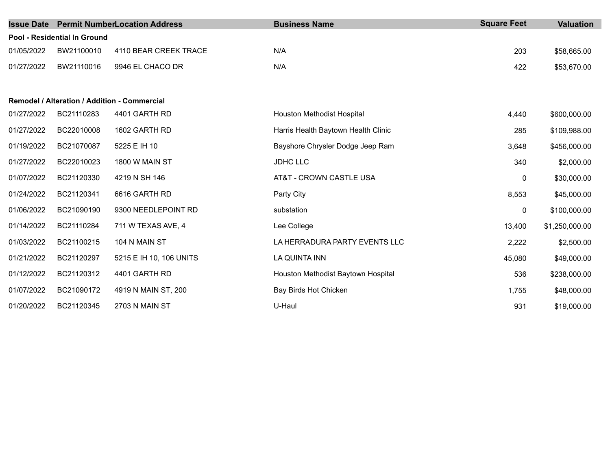| <b>Issue Date</b> |                                              | <b>Permit NumberLocation Address</b> | <b>Business Name</b>                | <b>Square Feet</b> | <b>Valuation</b> |
|-------------------|----------------------------------------------|--------------------------------------|-------------------------------------|--------------------|------------------|
|                   | <b>Pool - Residential In Ground</b>          |                                      |                                     |                    |                  |
| 01/05/2022        | BW21100010                                   | 4110 BEAR CREEK TRACE                | N/A                                 | 203                | \$58,665.00      |
| 01/27/2022        | BW21110016                                   | 9946 EL CHACO DR                     | N/A                                 | 422                | \$53,670.00      |
|                   |                                              |                                      |                                     |                    |                  |
|                   | Remodel / Alteration / Addition - Commercial |                                      |                                     |                    |                  |
| 01/27/2022        | BC21110283                                   | 4401 GARTH RD                        | Houston Methodist Hospital          | 4,440              | \$600,000.00     |
| 01/27/2022        | BC22010008                                   | 1602 GARTH RD                        | Harris Health Baytown Health Clinic | 285                | \$109,988.00     |
| 01/19/2022        | BC21070087                                   | 5225 E IH 10                         | Bayshore Chrysler Dodge Jeep Ram    | 3,648              | \$456,000.00     |
| 01/27/2022        | BC22010023                                   | 1800 W MAIN ST                       | <b>JDHC LLC</b>                     | 340                | \$2,000.00       |
| 01/07/2022        | BC21120330                                   | 4219 N SH 146                        | AT&T - CROWN CASTLE USA             | 0                  | \$30,000.00      |
| 01/24/2022        | BC21120341                                   | 6616 GARTH RD                        | Party City                          | 8,553              | \$45,000.00      |
| 01/06/2022        | BC21090190                                   | 9300 NEEDLEPOINT RD                  | substation                          | 0                  | \$100,000.00     |
| 01/14/2022        | BC21110284                                   | 711 W TEXAS AVE, 4                   | Lee College                         | 13,400             | \$1,250,000.00   |
| 01/03/2022        | BC21100215                                   | 104 N MAIN ST                        | LA HERRADURA PARTY EVENTS LLC       | 2,222              | \$2,500.00       |
| 01/21/2022        | BC21120297                                   | 5215 E IH 10, 106 UNITS              | LA QUINTA INN                       | 45,080             | \$49,000.00      |
| 01/12/2022        | BC21120312                                   | 4401 GARTH RD                        | Houston Methodist Baytown Hospital  | 536                | \$238,000.00     |
| 01/07/2022        | BC21090172                                   | 4919 N MAIN ST, 200                  | Bay Birds Hot Chicken               | 1,755              | \$48,000.00      |
| 01/20/2022        | BC21120345                                   | 2703 N MAIN ST                       | U-Haul                              | 931                | \$19,000.00      |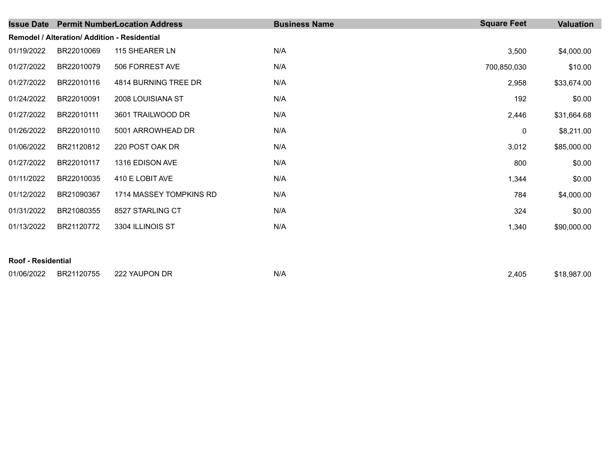| <b>Issue Date</b> |                                                     | <b>Permit NumberLocation Address</b> | <b>Business Name</b> | <b>Square Feet</b> | <b>Valuation</b> |  |  |  |
|-------------------|-----------------------------------------------------|--------------------------------------|----------------------|--------------------|------------------|--|--|--|
|                   | <b>Remodel / Alteration/ Addition - Residential</b> |                                      |                      |                    |                  |  |  |  |
| 01/19/2022        | BR22010069                                          | 115 SHEARER LN                       | N/A                  | 3,500              | \$4,000.00       |  |  |  |
| 01/27/2022        | BR22010079                                          | 506 FORREST AVE                      | N/A                  | 700,850,030        | \$10.00          |  |  |  |
| 01/27/2022        | BR22010116                                          | 4814 BURNING TREE DR                 | N/A                  | 2,958              | \$33,674.00      |  |  |  |
| 01/24/2022        | BR22010091                                          | 2008 LOUISIANA ST                    | N/A                  | 192                | \$0.00           |  |  |  |
| 01/27/2022        | BR22010111                                          | 3601 TRAILWOOD DR                    | N/A                  | 2,446              | \$31,664.68      |  |  |  |
| 01/26/2022        | BR22010110                                          | 5001 ARROWHEAD DR                    | N/A                  | 0                  | \$8,211.00       |  |  |  |
| 01/06/2022        | BR21120812                                          | 220 POST OAK DR                      | N/A                  | 3,012              | \$85,000.00      |  |  |  |
| 01/27/2022        | BR22010117                                          | 1316 EDISON AVE                      | N/A                  | 800                | \$0.00           |  |  |  |
| 01/11/2022        | BR22010035                                          | 410 E LOBIT AVE                      | N/A                  | 1,344              | \$0.00           |  |  |  |
| 01/12/2022        | BR21090367                                          | 1714 MASSEY TOMPKINS RD              | N/A                  | 784                | \$4,000.00       |  |  |  |
| 01/31/2022        | BR21080355                                          | 8527 STARLING CT                     | N/A                  | 324                | \$0.00           |  |  |  |
| 01/13/2022        | BR21120772                                          | 3304 ILLINOIS ST                     | N/A                  | 1,340              | \$90,000.00      |  |  |  |
|                   |                                                     |                                      |                      |                    |                  |  |  |  |
|                   | <b>Roof - Residential</b>                           |                                      |                      |                    |                  |  |  |  |

| 01/06/2022 | BR21120755 | 222 YAUPON DR | N/F | 2.405 | \$18,987.00 |
|------------|------------|---------------|-----|-------|-------------|
|------------|------------|---------------|-----|-------|-------------|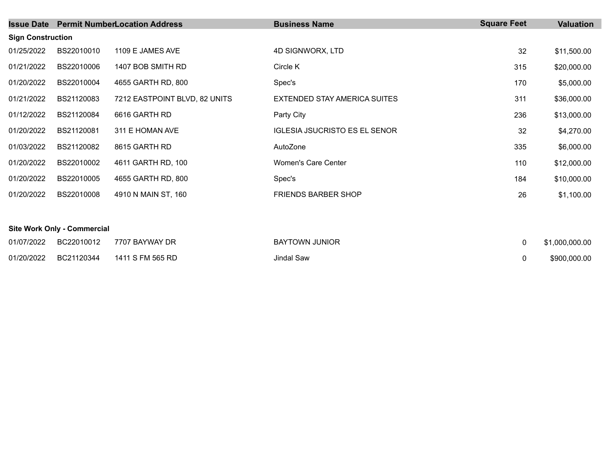| <b>Issue Date</b>        |            | <b>Permit NumberLocation Address</b> | <b>Business Name</b>                 | <b>Square Feet</b> | <b>Valuation</b> |
|--------------------------|------------|--------------------------------------|--------------------------------------|--------------------|------------------|
| <b>Sign Construction</b> |            |                                      |                                      |                    |                  |
| 01/25/2022               | BS22010010 | 1109 E JAMES AVE                     | 4D SIGNWORX, LTD                     | 32                 | \$11,500.00      |
| 01/21/2022               | BS22010006 | 1407 BOB SMITH RD                    | Circle K                             | 315                | \$20,000.00      |
| 01/20/2022               | BS22010004 | 4655 GARTH RD, 800                   | Spec's                               | 170                | \$5,000.00       |
| 01/21/2022               | BS21120083 | 7212 EASTPOINT BLVD, 82 UNITS        | EXTENDED STAY AMERICA SUITES         | 311                | \$36,000.00      |
| 01/12/2022               | BS21120084 | 6616 GARTH RD                        | Party City                           | 236                | \$13,000.00      |
| 01/20/2022               | BS21120081 | 311 E HOMAN AVE                      | <b>IGLESIA JSUCRISTO ES EL SENOR</b> | 32                 | \$4,270.00       |
| 01/03/2022               | BS21120082 | 8615 GARTH RD                        | AutoZone                             | 335                | \$6,000.00       |
| 01/20/2022               | BS22010002 | 4611 GARTH RD, 100                   | Women's Care Center                  | 110                | \$12,000.00      |
| 01/20/2022               | BS22010005 | 4655 GARTH RD, 800                   | Spec's                               | 184                | \$10,000.00      |
| 01/20/2022               | BS22010008 | 4910 N MAIN ST, 160                  | <b>FRIENDS BARBER SHOP</b>           | 26                 | \$1,100.00       |

## **Site Work Only - Commercial**

| 01/07/2022 | BC22010012 7707 BAYWAY DR     | <b>BAYTOWN JUNIOR</b> | \$1,000,000.00 |
|------------|-------------------------------|-----------------------|----------------|
| 01/20/2022 | BC21120344   1411 S FM 565 RD | Jindal Saw            | \$900,000,00   |